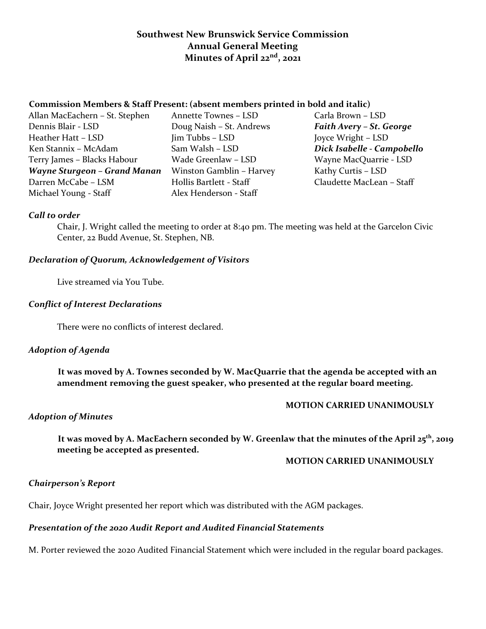# **Southwest New Brunswick Service Commission Annual General Meeting Minutes of April 22nd, 2021**

# **Commission Members & Staff Present: (absent members printed in bold and italic)**

- Allan MacEachern St. Stephen Annette Townes LSD Carla Brown LSD Dennis Blair - LSD Doug Naish – St. Andrews *Faith Avery – St. George* Heather Hatt – LSD Jim Tubbs – LSD Joyce Wright – LSD Ken Stannix – McAdam Sam Walsh – LSD *Dick Isabelle - Campobello* Terry James – Blacks Habour Wade Greenlaw – LSD Wayne MacQuarrie - LSD *Wayne Sturgeon – Grand Manan* Winston Gamblin – Harvey Kathy Curtis – LSD Darren McCabe – LSM Hollis Bartlett - Staff Claudette MacLean – Staff Michael Young - Staff Alex Henderson - Staff
	-

# *Call to order*

Chair, J. Wright called the meeting to order at 8:40 pm. The meeting was held at the Garcelon Civic Center, 22 Budd Avenue, St. Stephen, NB.

#### *Declaration of Quorum, Acknowledgement of Visitors*

Live streamed via You Tube.

#### *Conflict of Interest Declarations*

There were no conflicts of interest declared.

# *Adoption of Agenda*

 **It was moved by A. Townes seconded by W. MacQuarrie that the agenda be accepted with an amendment removing the guest speaker, who presented at the regular board meeting.**

#### **MOTION CARRIED UNANIMOUSLY**

#### *Adoption of Minutes*

 **It was moved by A. MacEachern seconded by W. Greenlaw that the minutes of the April 25th, 2019 meeting be accepted as presented.**

#### **MOTION CARRIED UNANIMOUSLY**

# *Chairperson's Report*

Chair, Joyce Wright presented her report which was distributed with the AGM packages.

# *Presentation of the 2020 Audit Report and Audited Financial Statements*

M. Porter reviewed the 2020 Audited Financial Statement which were included in the regular board packages.